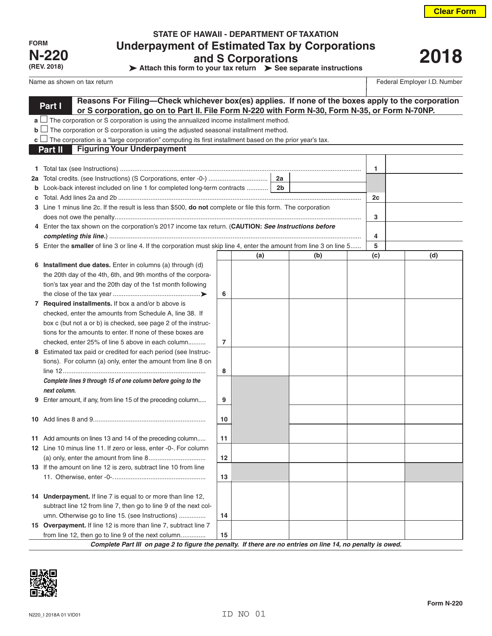| FORM         |
|--------------|
| <b>N-220</b> |
| (REV. 2018)  |

# **STATE OF HAWAII - DEPARTMENT OF TAXATION Underpayment of Estimated Tax by Corporations and S Corporations**

**Attach this form to your tax return > See separate instructions** 

# **2018**

Name as shown on tax return **Federal Employer I.D.** Number

|    | Reasons For Filing-Check whichever box(es) applies. If none of the boxes apply to the corporation<br>Part I<br>or S corporation, go on to Part II. File Form N-220 with Form N-30, Form N-35, or Form N-70NP. |                |     |    |     |     |     |  |
|----|---------------------------------------------------------------------------------------------------------------------------------------------------------------------------------------------------------------|----------------|-----|----|-----|-----|-----|--|
|    | $\mathbf{a}$ The corporation or S corporation is using the annualized income installment method.                                                                                                              |                |     |    |     |     |     |  |
|    | $\mathbf{b}$ $\Box$ The corporation or S corporation is using the adjusted seasonal installment method.                                                                                                       |                |     |    |     |     |     |  |
|    | $\mathbf{c} \ \Box$ The corporation is a "large corporation" computing its first installment based on the prior year's tax.                                                                                   |                |     |    |     |     |     |  |
|    | <b>Figuring Your Underpayment</b><br>Part II                                                                                                                                                                  |                |     |    |     |     |     |  |
|    |                                                                                                                                                                                                               |                |     |    |     |     |     |  |
|    |                                                                                                                                                                                                               |                |     |    |     | 1   |     |  |
| 2a |                                                                                                                                                                                                               |                |     | 2a |     |     |     |  |
| b  | Look-back interest included on line 1 for completed long-term contracts    2b                                                                                                                                 |                |     |    |     |     |     |  |
| с  |                                                                                                                                                                                                               |                |     |    |     | 2c  |     |  |
|    | 3 Line 1 minus line 2c. If the result is less than \$500, <b>do not</b> complete or file this form. The corporation                                                                                           |                |     |    |     |     |     |  |
|    |                                                                                                                                                                                                               |                |     |    |     | 3   |     |  |
|    | 4 Enter the tax shown on the corporation's 2017 income tax return. (CAUTION: See Instructions before                                                                                                          |                |     |    |     |     |     |  |
|    |                                                                                                                                                                                                               |                |     |    |     | 4   |     |  |
|    | 5 Enter the smaller of line 3 or line 4. If the corporation must skip line 4, enter the amount from line 3 on line 5                                                                                          |                |     |    |     | 5   |     |  |
|    |                                                                                                                                                                                                               |                | (a) |    | (b) | (c) | (d) |  |
|    | 6 Installment due dates. Enter in columns (a) through (d)                                                                                                                                                     |                |     |    |     |     |     |  |
|    | the 20th day of the 4th, 6th, and 9th months of the corpora-                                                                                                                                                  |                |     |    |     |     |     |  |
|    | tion's tax year and the 20th day of the 1st month following                                                                                                                                                   |                |     |    |     |     |     |  |
|    |                                                                                                                                                                                                               | 6              |     |    |     |     |     |  |
|    | 7 Required installments. If box a and/or b above is                                                                                                                                                           |                |     |    |     |     |     |  |
|    | checked, enter the amounts from Schedule A, line 38. If                                                                                                                                                       |                |     |    |     |     |     |  |
|    | box c (but not a or b) is checked, see page 2 of the instruc-                                                                                                                                                 |                |     |    |     |     |     |  |
|    | tions for the amounts to enter. If none of these boxes are                                                                                                                                                    |                |     |    |     |     |     |  |
|    | checked, enter 25% of line 5 above in each column                                                                                                                                                             | $\overline{7}$ |     |    |     |     |     |  |
|    | 8 Estimated tax paid or credited for each period (see Instruc-                                                                                                                                                |                |     |    |     |     |     |  |
|    | tions). For column (a) only, enter the amount from line 8 on                                                                                                                                                  |                |     |    |     |     |     |  |
|    | Complete lines 9 through 15 of one column before going to the                                                                                                                                                 | 8              |     |    |     |     |     |  |
|    | next column.                                                                                                                                                                                                  |                |     |    |     |     |     |  |
| 9  | Enter amount, if any, from line 15 of the preceding column                                                                                                                                                    | 9              |     |    |     |     |     |  |
|    |                                                                                                                                                                                                               |                |     |    |     |     |     |  |
|    |                                                                                                                                                                                                               | 10             |     |    |     |     |     |  |
|    |                                                                                                                                                                                                               |                |     |    |     |     |     |  |
|    | 11 Add amounts on lines 13 and 14 of the preceding column                                                                                                                                                     | 11             |     |    |     |     |     |  |
|    | 12 Line 10 minus line 11. If zero or less, enter -0-. For column                                                                                                                                              |                |     |    |     |     |     |  |
|    |                                                                                                                                                                                                               | 12             |     |    |     |     |     |  |
|    | 13 If the amount on line 12 is zero, subtract line 10 from line                                                                                                                                               |                |     |    |     |     |     |  |
|    |                                                                                                                                                                                                               | 13             |     |    |     |     |     |  |
|    |                                                                                                                                                                                                               |                |     |    |     |     |     |  |
|    | 14 Underpayment. If line 7 is equal to or more than line 12,                                                                                                                                                  |                |     |    |     |     |     |  |
|    | subtract line 12 from line 7, then go to line 9 of the next col-                                                                                                                                              |                |     |    |     |     |     |  |
|    | umn. Otherwise go to line 15. (see Instructions)                                                                                                                                                              | 14             |     |    |     |     |     |  |
|    | 15 Overpayment. If line 12 is more than line 7, subtract line 7                                                                                                                                               |                |     |    |     |     |     |  |
|    | from line 12, then go to line 9 of the next column                                                                                                                                                            | 15             |     |    |     |     |     |  |

*Complete Part III on page 2 to figure the penalty. If there are no entries on line 14, no penalty is owed.*

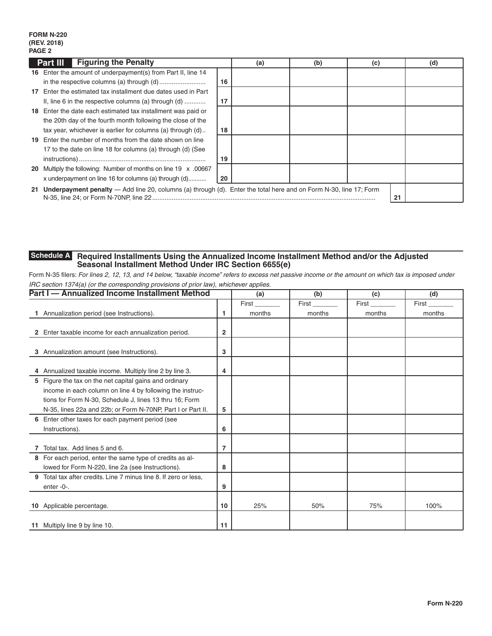### **FORM N-220 (REV. 2018) PAGE 2**

|    | <b>Part III</b> Figuring the Penalty                                                                                 |    | (a) | (b) | (c) |    | (d) |
|----|----------------------------------------------------------------------------------------------------------------------|----|-----|-----|-----|----|-----|
|    | 16 Enter the amount of underpayment(s) from Part II, line 14                                                         |    |     |     |     |    |     |
|    |                                                                                                                      | 16 |     |     |     |    |     |
| 17 | Enter the estimated tax installment due dates used in Part                                                           |    |     |     |     |    |     |
|    | II, line 6 in the respective columns (a) through $(d)$                                                               | 17 |     |     |     |    |     |
|    | 18 Enter the date each estimated tax installment was paid or                                                         |    |     |     |     |    |     |
|    | the 20th day of the fourth month following the close of the                                                          |    |     |     |     |    |     |
|    | tax year, whichever is earlier for columns (a) through (d)                                                           | 18 |     |     |     |    |     |
|    | 19 Enter the number of months from the date shown on line                                                            |    |     |     |     |    |     |
|    | 17 to the date on line 18 for columns (a) through (d) (See                                                           |    |     |     |     |    |     |
|    |                                                                                                                      | 19 |     |     |     |    |     |
|    | 20 Multiply the following: Number of months on line 19 x .00667                                                      |    |     |     |     |    |     |
|    | x underpayment on line 16 for columns (a) through (d)                                                                | 20 |     |     |     |    |     |
|    | 21 Underpayment penalty — Add line 20, columns (a) through (d). Enter the total here and on Form N-30, line 17; Form |    |     |     |     | 21 |     |

#### **Required Installments Using the Annualized Income Installment Method and/or the Adjusted Seasonal Installment Method Under IRC Section 6655(e) Schedule A**

Form N-35 filers: *For lines 2, 12, 13, and 14 below, "taxable income" refers to excess net passive income or the amount on which tax is imposed under IRC section 1374(a) (or the corresponding provisions of prior law), whichever applies.*

|   | Part I - Annualized Income Installment Method                  |    | (a)    | (b)    | (c)    | (d)    |
|---|----------------------------------------------------------------|----|--------|--------|--------|--------|
|   |                                                                |    | First  | First  | First  | First  |
|   | Annualization period (see Instructions).                       | 1  | months | months | months | months |
|   |                                                                |    |        |        |        |        |
|   | 2 Enter taxable income for each annualization period.          | 2  |        |        |        |        |
|   |                                                                |    |        |        |        |        |
| 3 | Annualization amount (see Instructions).                       | 3  |        |        |        |        |
|   |                                                                |    |        |        |        |        |
|   | 4 Annualized taxable income. Multiply line 2 by line 3.        | 4  |        |        |        |        |
|   | 5 Figure the tax on the net capital gains and ordinary         |    |        |        |        |        |
|   | income in each column on line 4 by following the instruc-      |    |        |        |        |        |
|   | tions for Form N-30, Schedule J, lines 13 thru 16; Form        |    |        |        |        |        |
|   | N-35, lines 22a and 22b; or Form N-70NP, Part I or Part II.    | 5  |        |        |        |        |
|   | 6 Enter other taxes for each payment period (see               |    |        |        |        |        |
|   | Instructions).                                                 | 6  |        |        |        |        |
|   |                                                                |    |        |        |        |        |
|   | Total tax. Add lines 5 and 6.                                  | 7  |        |        |        |        |
|   | 8 For each period, enter the same type of credits as al-       |    |        |        |        |        |
|   | lowed for Form N-220, line 2a (see Instructions).              | 8  |        |        |        |        |
| 9 | Total tax after credits. Line 7 minus line 8. If zero or less, |    |        |        |        |        |
|   | enter-0-.                                                      | 9  |        |        |        |        |
|   |                                                                |    |        |        |        |        |
|   | 10 Applicable percentage.                                      | 10 | 25%    | 50%    | 75%    | 100%   |
|   |                                                                |    |        |        |        |        |
|   | 11 Multiply line 9 by line 10.                                 | 11 |        |        |        |        |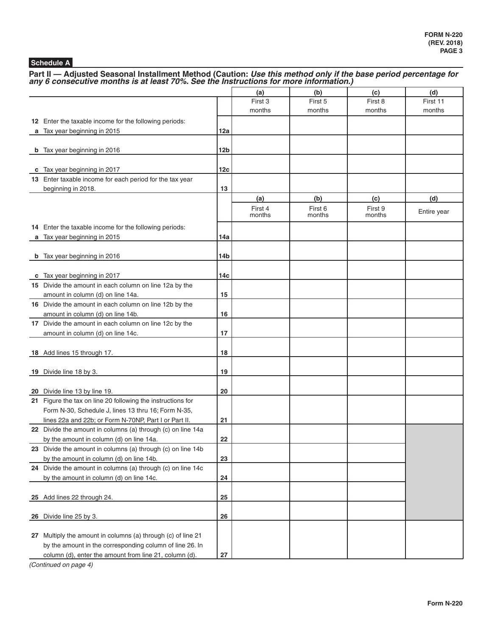# **Schedule A**

Part II — Adjusted Seasonal Installment Method (Caution: *Use this method only if the base period percentage for any 6 consecutive months is at least 70%. See the Instructions for more information.)* 

|                                                                                        |            | (a)     | (b)     | (c)     | (d)         |
|----------------------------------------------------------------------------------------|------------|---------|---------|---------|-------------|
|                                                                                        |            | First 3 | First 5 | First 8 | First 11    |
|                                                                                        |            | months  | months  | months  | months      |
| 12 Enter the taxable income for the following periods:                                 |            |         |         |         |             |
| a Tax year beginning in 2015                                                           | 12a        |         |         |         |             |
|                                                                                        |            |         |         |         |             |
| <b>b</b> Tax year beginning in 2016                                                    | 12b        |         |         |         |             |
|                                                                                        |            |         |         |         |             |
| c Tax year beginning in 2017                                                           | 12c        |         |         |         |             |
| 13 Enter taxable income for each period for the tax year                               |            |         |         |         |             |
| beginning in 2018.                                                                     | 13         |         |         |         |             |
|                                                                                        |            | (a)     | (b)     | (c)     | (d)         |
|                                                                                        |            | First 4 | First 6 | First 9 | Entire year |
|                                                                                        |            | months  | months  | months  |             |
| 14 Enter the taxable income for the following periods:                                 |            |         |         |         |             |
| a Tax year beginning in 2015                                                           | 14a        |         |         |         |             |
|                                                                                        |            |         |         |         |             |
| <b>b</b> Tax year beginning in 2016                                                    | 14b        |         |         |         |             |
|                                                                                        | 14с        |         |         |         |             |
| c Tax year beginning in 2017<br>15 Divide the amount in each column on line 12a by the |            |         |         |         |             |
| amount in column (d) on line 14a.                                                      | 15         |         |         |         |             |
| 16 Divide the amount in each column on line 12b by the                                 |            |         |         |         |             |
| amount in column (d) on line 14b.                                                      | 16         |         |         |         |             |
| 17 Divide the amount in each column on line 12c by the                                 |            |         |         |         |             |
| amount in column (d) on line 14c.                                                      | 17         |         |         |         |             |
|                                                                                        |            |         |         |         |             |
| 18 Add lines 15 through 17.                                                            | 18         |         |         |         |             |
|                                                                                        |            |         |         |         |             |
| 19 Divide line 18 by 3.                                                                | 19         |         |         |         |             |
|                                                                                        |            |         |         |         |             |
| 20 Divide line 13 by line 19.                                                          | 20         |         |         |         |             |
| 21 Figure the tax on line 20 following the instructions for                            |            |         |         |         |             |
| Form N-30, Schedule J, lines 13 thru 16; Form N-35,                                    |            |         |         |         |             |
| lines 22a and 22b; or Form N-70NP, Part I or Part II.                                  | 21         |         |         |         |             |
| 22 Divide the amount in columns (a) through (c) on line 14a                            |            |         |         |         |             |
| by the amount in column (d) on line 14a.                                               | 22         |         |         |         |             |
| 23 Divide the amount in columns (a) through (c) on line 14b                            |            |         |         |         |             |
| by the amount in column (d) on line 14b.                                               | 23         |         |         |         |             |
| 24 Divide the amount in columns (a) through (c) on line 14c                            |            |         |         |         |             |
| by the amount in column (d) on line 14c.                                               | 24         |         |         |         |             |
|                                                                                        |            |         |         |         |             |
| 25 Add lines 22 through 24.                                                            | 25         |         |         |         |             |
|                                                                                        |            |         |         |         |             |
| 26 Divide line 25 by 3.                                                                | 26         |         |         |         |             |
|                                                                                        |            |         |         |         |             |
| 27 Multiply the amount in columns (a) through (c) of line 21                           |            |         |         |         |             |
| by the amount in the corresponding column of line 26. In                               |            |         |         |         |             |
| column (d), enter the amount from line 21, column (d).                                 | ${\bf 27}$ |         |         |         |             |

*(Continued on page 4)*